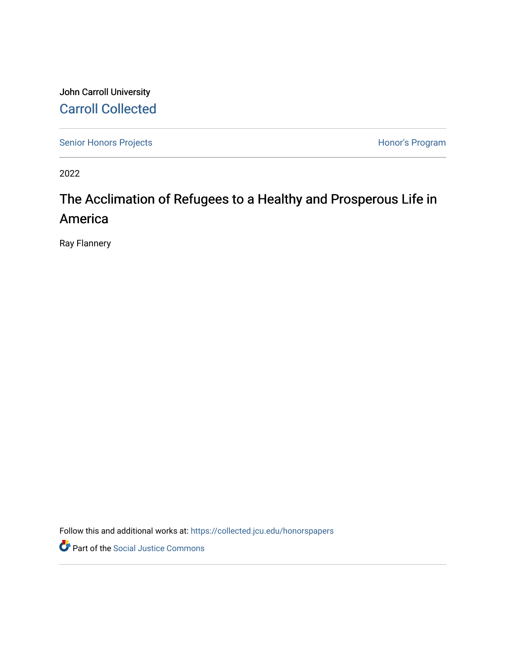John Carroll University [Carroll Collected](https://collected.jcu.edu/) 

[Senior Honors Projects](https://collected.jcu.edu/honorspapers) **Honor's Program** 

2022

# The Acclimation of Refugees to a Healthy and Prosperous Life in America

Ray Flannery

Follow this and additional works at: [https://collected.jcu.edu/honorspapers](https://collected.jcu.edu/honorspapers?utm_source=collected.jcu.edu%2Fhonorspapers%2F141&utm_medium=PDF&utm_campaign=PDFCoverPages)

Part of the [Social Justice Commons](https://network.bepress.com/hgg/discipline/1432?utm_source=collected.jcu.edu%2Fhonorspapers%2F141&utm_medium=PDF&utm_campaign=PDFCoverPages)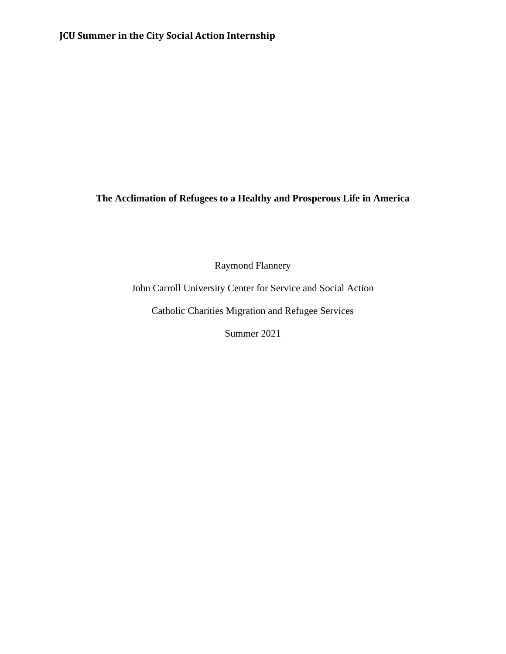# **JCU Summer in the City Social Action Internship**

# **The Acclimation of Refugees to a Healthy and Prosperous Life in America**

Raymond Flannery

John Carroll University Center for Service and Social Action

Catholic Charities Migration and Refugee Services

Summer 2021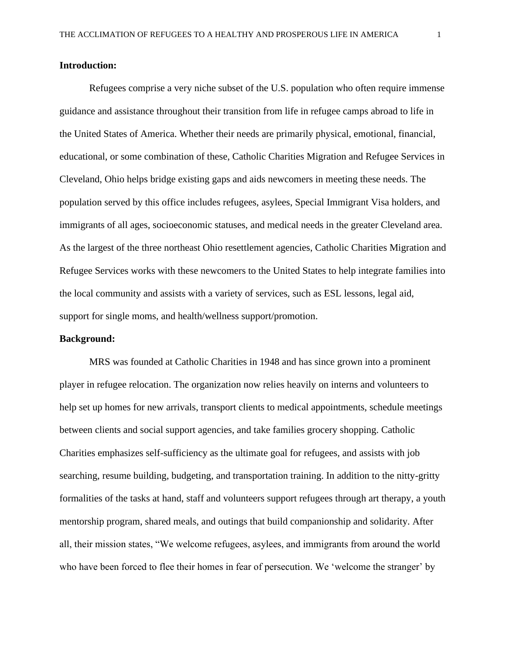#### **Introduction:**

Refugees comprise a very niche subset of the U.S. population who often require immense guidance and assistance throughout their transition from life in refugee camps abroad to life in the United States of America. Whether their needs are primarily physical, emotional, financial, educational, or some combination of these, Catholic Charities Migration and Refugee Services in Cleveland, Ohio helps bridge existing gaps and aids newcomers in meeting these needs. The population served by this office includes refugees, asylees, Special Immigrant Visa holders, and immigrants of all ages, socioeconomic statuses, and medical needs in the greater Cleveland area. As the largest of the three northeast Ohio resettlement agencies, Catholic Charities Migration and Refugee Services works with these newcomers to the United States to help integrate families into the local community and assists with a variety of services, such as ESL lessons, legal aid, support for single moms, and health/wellness support/promotion.

#### **Background:**

MRS was founded at Catholic Charities in 1948 and has since grown into a prominent player in refugee relocation. The organization now relies heavily on interns and volunteers to help set up homes for new arrivals, transport clients to medical appointments, schedule meetings between clients and social support agencies, and take families grocery shopping. Catholic Charities emphasizes self-sufficiency as the ultimate goal for refugees, and assists with job searching, resume building, budgeting, and transportation training. In addition to the nitty-gritty formalities of the tasks at hand, staff and volunteers support refugees through art therapy, a youth mentorship program, shared meals, and outings that build companionship and solidarity. After all, their mission states, "We welcome refugees, asylees, and immigrants from around the world who have been forced to flee their homes in fear of persecution. We 'welcome the stranger' by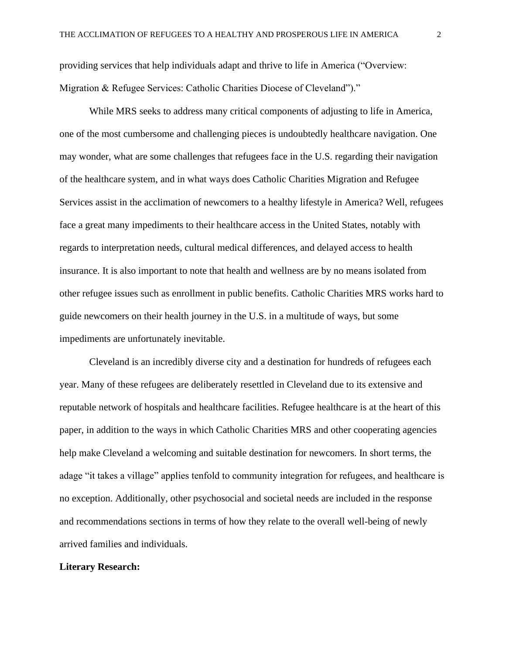providing services that help individuals adapt and thrive to life in America ("Overview: Migration & Refugee Services: Catholic Charities Diocese of Cleveland")."

While MRS seeks to address many critical components of adjusting to life in America, one of the most cumbersome and challenging pieces is undoubtedly healthcare navigation. One may wonder, what are some challenges that refugees face in the U.S. regarding their navigation of the healthcare system, and in what ways does Catholic Charities Migration and Refugee Services assist in the acclimation of newcomers to a healthy lifestyle in America? Well, refugees face a great many impediments to their healthcare access in the United States, notably with regards to interpretation needs, cultural medical differences, and delayed access to health insurance. It is also important to note that health and wellness are by no means isolated from other refugee issues such as enrollment in public benefits. Catholic Charities MRS works hard to guide newcomers on their health journey in the U.S. in a multitude of ways, but some impediments are unfortunately inevitable.

Cleveland is an incredibly diverse city and a destination for hundreds of refugees each year. Many of these refugees are deliberately resettled in Cleveland due to its extensive and reputable network of hospitals and healthcare facilities. Refugee healthcare is at the heart of this paper, in addition to the ways in which Catholic Charities MRS and other cooperating agencies help make Cleveland a welcoming and suitable destination for newcomers. In short terms, the adage "it takes a village" applies tenfold to community integration for refugees, and healthcare is no exception. Additionally, other psychosocial and societal needs are included in the response and recommendations sections in terms of how they relate to the overall well-being of newly arrived families and individuals.

#### **Literary Research:**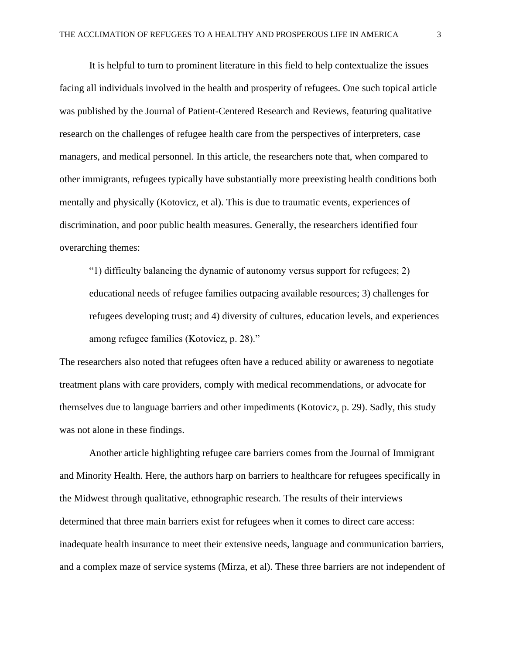It is helpful to turn to prominent literature in this field to help contextualize the issues facing all individuals involved in the health and prosperity of refugees. One such topical article was published by the Journal of Patient-Centered Research and Reviews, featuring qualitative research on the challenges of refugee health care from the perspectives of interpreters, case managers, and medical personnel. In this article, the researchers note that, when compared to other immigrants, refugees typically have substantially more preexisting health conditions both mentally and physically (Kotovicz, et al). This is due to traumatic events, experiences of discrimination, and poor public health measures. Generally, the researchers identified four overarching themes:

"1) difficulty balancing the dynamic of autonomy versus support for refugees; 2) educational needs of refugee families outpacing available resources; 3) challenges for refugees developing trust; and 4) diversity of cultures, education levels, and experiences among refugee families (Kotovicz, p. 28)."

The researchers also noted that refugees often have a reduced ability or awareness to negotiate treatment plans with care providers, comply with medical recommendations, or advocate for themselves due to language barriers and other impediments (Kotovicz, p. 29). Sadly, this study was not alone in these findings.

Another article highlighting refugee care barriers comes from the Journal of Immigrant and Minority Health. Here, the authors harp on barriers to healthcare for refugees specifically in the Midwest through qualitative, ethnographic research. The results of their interviews determined that three main barriers exist for refugees when it comes to direct care access: inadequate health insurance to meet their extensive needs, language and communication barriers, and a complex maze of service systems (Mirza, et al). These three barriers are not independent of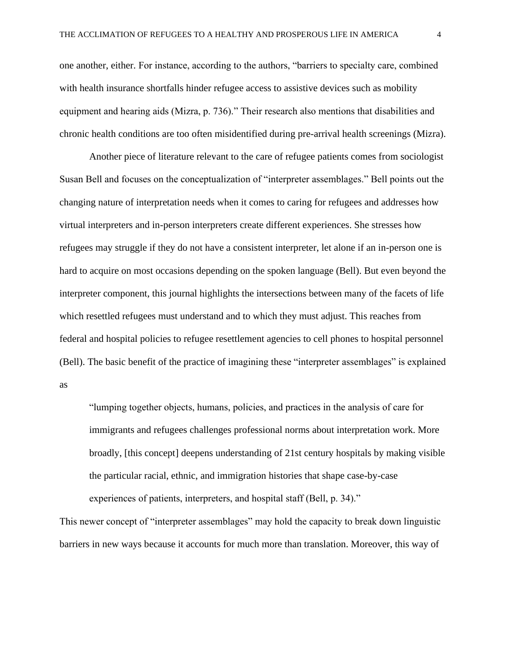one another, either. For instance, according to the authors, "barriers to specialty care, combined with health insurance shortfalls hinder refugee access to assistive devices such as mobility equipment and hearing aids (Mizra, p. 736)." Their research also mentions that disabilities and chronic health conditions are too often misidentified during pre-arrival health screenings (Mizra).

Another piece of literature relevant to the care of refugee patients comes from sociologist Susan Bell and focuses on the conceptualization of "interpreter assemblages." Bell points out the changing nature of interpretation needs when it comes to caring for refugees and addresses how virtual interpreters and in-person interpreters create different experiences. She stresses how refugees may struggle if they do not have a consistent interpreter, let alone if an in-person one is hard to acquire on most occasions depending on the spoken language (Bell). But even beyond the interpreter component, this journal highlights the intersections between many of the facets of life which resettled refugees must understand and to which they must adjust. This reaches from federal and hospital policies to refugee resettlement agencies to cell phones to hospital personnel (Bell). The basic benefit of the practice of imagining these "interpreter assemblages" is explained as

"lumping together objects, humans, policies, and practices in the analysis of care for immigrants and refugees challenges professional norms about interpretation work. More broadly, [this concept] deepens understanding of 21st century hospitals by making visible the particular racial, ethnic, and immigration histories that shape case-by-case experiences of patients, interpreters, and hospital staff (Bell, p. 34)."

This newer concept of "interpreter assemblages" may hold the capacity to break down linguistic barriers in new ways because it accounts for much more than translation. Moreover, this way of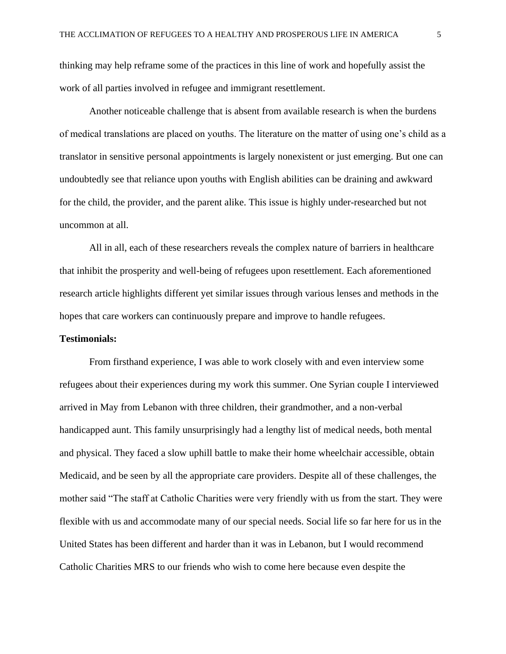thinking may help reframe some of the practices in this line of work and hopefully assist the work of all parties involved in refugee and immigrant resettlement.

Another noticeable challenge that is absent from available research is when the burdens of medical translations are placed on youths. The literature on the matter of using one's child as a translator in sensitive personal appointments is largely nonexistent or just emerging. But one can undoubtedly see that reliance upon youths with English abilities can be draining and awkward for the child, the provider, and the parent alike. This issue is highly under-researched but not uncommon at all.

All in all, each of these researchers reveals the complex nature of barriers in healthcare that inhibit the prosperity and well-being of refugees upon resettlement. Each aforementioned research article highlights different yet similar issues through various lenses and methods in the hopes that care workers can continuously prepare and improve to handle refugees.

#### **Testimonials:**

From firsthand experience, I was able to work closely with and even interview some refugees about their experiences during my work this summer. One Syrian couple I interviewed arrived in May from Lebanon with three children, their grandmother, and a non-verbal handicapped aunt. This family unsurprisingly had a lengthy list of medical needs, both mental and physical. They faced a slow uphill battle to make their home wheelchair accessible, obtain Medicaid, and be seen by all the appropriate care providers. Despite all of these challenges, the mother said "The staff at Catholic Charities were very friendly with us from the start. They were flexible with us and accommodate many of our special needs. Social life so far here for us in the United States has been different and harder than it was in Lebanon, but I would recommend Catholic Charities MRS to our friends who wish to come here because even despite the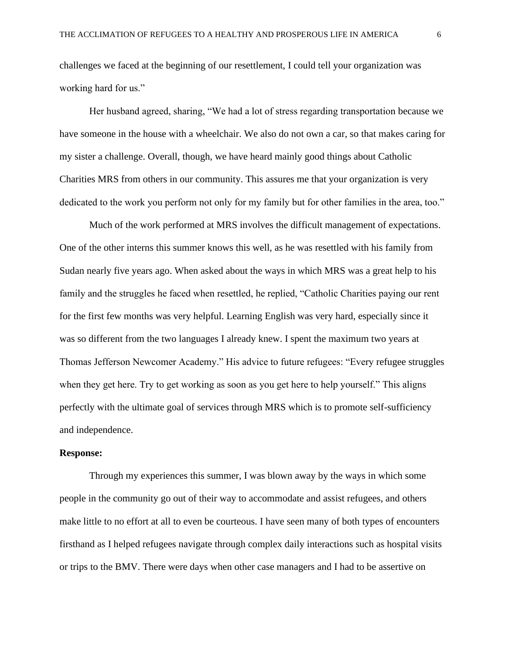challenges we faced at the beginning of our resettlement, I could tell your organization was working hard for us."

Her husband agreed, sharing, "We had a lot of stress regarding transportation because we have someone in the house with a wheelchair. We also do not own a car, so that makes caring for my sister a challenge. Overall, though, we have heard mainly good things about Catholic Charities MRS from others in our community. This assures me that your organization is very dedicated to the work you perform not only for my family but for other families in the area, too."

Much of the work performed at MRS involves the difficult management of expectations. One of the other interns this summer knows this well, as he was resettled with his family from Sudan nearly five years ago. When asked about the ways in which MRS was a great help to his family and the struggles he faced when resettled, he replied, "Catholic Charities paying our rent for the first few months was very helpful. Learning English was very hard, especially since it was so different from the two languages I already knew. I spent the maximum two years at Thomas Jefferson Newcomer Academy." His advice to future refugees: "Every refugee struggles when they get here. Try to get working as soon as you get here to help yourself." This aligns perfectly with the ultimate goal of services through MRS which is to promote self-sufficiency and independence.

# **Response:**

Through my experiences this summer, I was blown away by the ways in which some people in the community go out of their way to accommodate and assist refugees, and others make little to no effort at all to even be courteous. I have seen many of both types of encounters firsthand as I helped refugees navigate through complex daily interactions such as hospital visits or trips to the BMV. There were days when other case managers and I had to be assertive on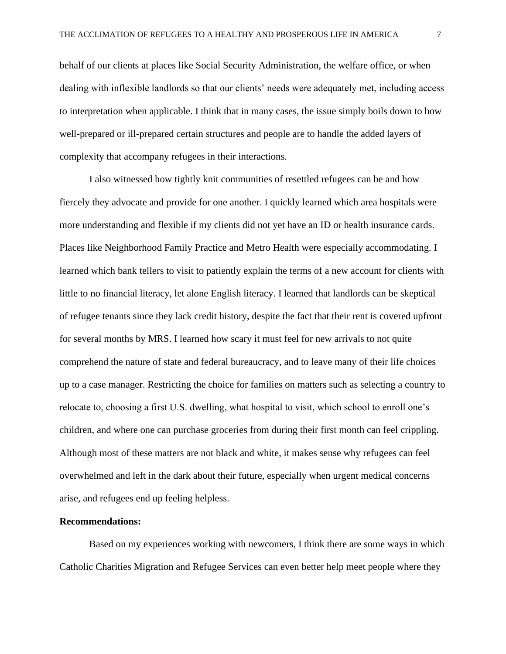behalf of our clients at places like Social Security Administration, the welfare office, or when dealing with inflexible landlords so that our clients' needs were adequately met, including access to interpretation when applicable. I think that in many cases, the issue simply boils down to how well-prepared or ill-prepared certain structures and people are to handle the added layers of complexity that accompany refugees in their interactions.

I also witnessed how tightly knit communities of resettled refugees can be and how fiercely they advocate and provide for one another. I quickly learned which area hospitals were more understanding and flexible if my clients did not yet have an ID or health insurance cards. Places like Neighborhood Family Practice and Metro Health were especially accommodating. I learned which bank tellers to visit to patiently explain the terms of a new account for clients with little to no financial literacy, let alone English literacy. I learned that landlords can be skeptical of refugee tenants since they lack credit history, despite the fact that their rent is covered upfront for several months by MRS. I learned how scary it must feel for new arrivals to not quite comprehend the nature of state and federal bureaucracy, and to leave many of their life choices up to a case manager. Restricting the choice for families on matters such as selecting a country to relocate to, choosing a first U.S. dwelling, what hospital to visit, which school to enroll one's children, and where one can purchase groceries from during their first month can feel crippling. Although most of these matters are not black and white, it makes sense why refugees can feel overwhelmed and left in the dark about their future, especially when urgent medical concerns arise, and refugees end up feeling helpless.

## **Recommendations:**

Based on my experiences working with newcomers, I think there are some ways in which Catholic Charities Migration and Refugee Services can even better help meet people where they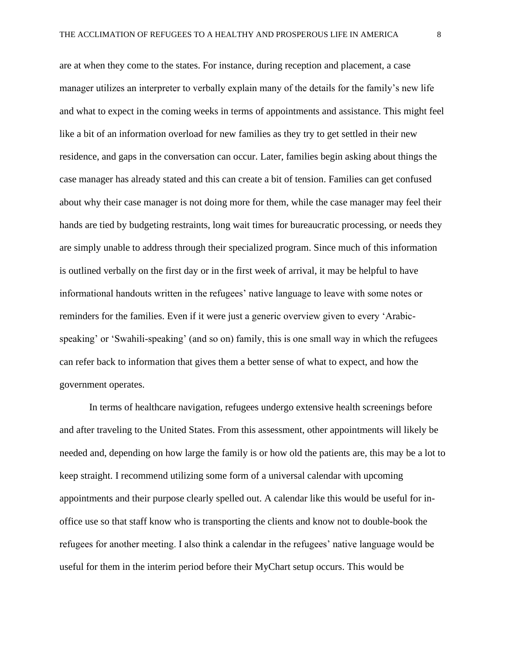are at when they come to the states. For instance, during reception and placement, a case manager utilizes an interpreter to verbally explain many of the details for the family's new life and what to expect in the coming weeks in terms of appointments and assistance. This might feel like a bit of an information overload for new families as they try to get settled in their new residence, and gaps in the conversation can occur. Later, families begin asking about things the case manager has already stated and this can create a bit of tension. Families can get confused about why their case manager is not doing more for them, while the case manager may feel their hands are tied by budgeting restraints, long wait times for bureaucratic processing, or needs they are simply unable to address through their specialized program. Since much of this information is outlined verbally on the first day or in the first week of arrival, it may be helpful to have informational handouts written in the refugees' native language to leave with some notes or reminders for the families. Even if it were just a generic overview given to every 'Arabicspeaking' or 'Swahili-speaking' (and so on) family, this is one small way in which the refugees can refer back to information that gives them a better sense of what to expect, and how the government operates.

In terms of healthcare navigation, refugees undergo extensive health screenings before and after traveling to the United States. From this assessment, other appointments will likely be needed and, depending on how large the family is or how old the patients are, this may be a lot to keep straight. I recommend utilizing some form of a universal calendar with upcoming appointments and their purpose clearly spelled out. A calendar like this would be useful for inoffice use so that staff know who is transporting the clients and know not to double-book the refugees for another meeting. I also think a calendar in the refugees' native language would be useful for them in the interim period before their MyChart setup occurs. This would be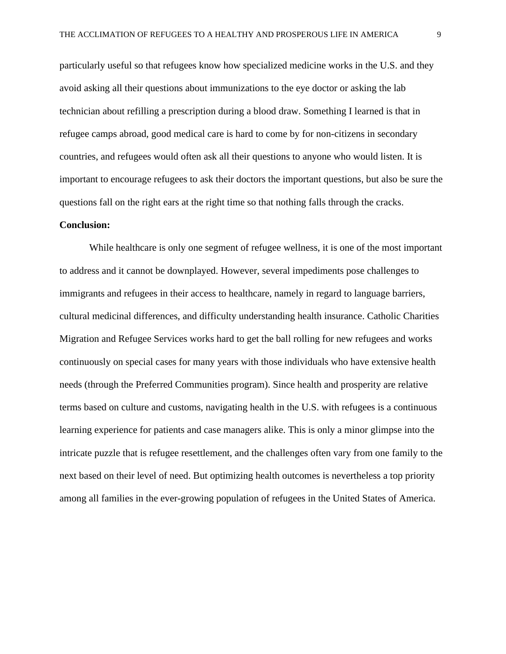particularly useful so that refugees know how specialized medicine works in the U.S. and they avoid asking all their questions about immunizations to the eye doctor or asking the lab technician about refilling a prescription during a blood draw. Something I learned is that in refugee camps abroad, good medical care is hard to come by for non-citizens in secondary countries, and refugees would often ask all their questions to anyone who would listen. It is important to encourage refugees to ask their doctors the important questions, but also be sure the questions fall on the right ears at the right time so that nothing falls through the cracks.

### **Conclusion:**

While healthcare is only one segment of refugee wellness, it is one of the most important to address and it cannot be downplayed. However, several impediments pose challenges to immigrants and refugees in their access to healthcare, namely in regard to language barriers, cultural medicinal differences, and difficulty understanding health insurance. Catholic Charities Migration and Refugee Services works hard to get the ball rolling for new refugees and works continuously on special cases for many years with those individuals who have extensive health needs (through the Preferred Communities program). Since health and prosperity are relative terms based on culture and customs, navigating health in the U.S. with refugees is a continuous learning experience for patients and case managers alike. This is only a minor glimpse into the intricate puzzle that is refugee resettlement, and the challenges often vary from one family to the next based on their level of need. But optimizing health outcomes is nevertheless a top priority among all families in the ever-growing population of refugees in the United States of America.